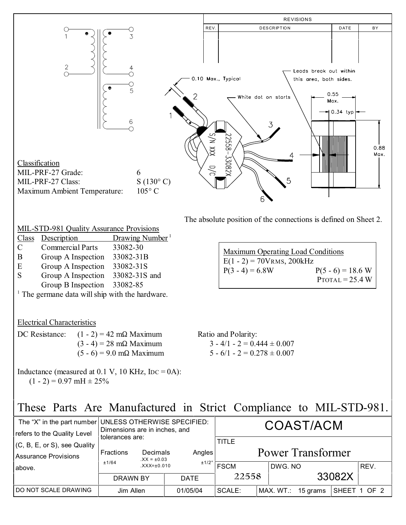

|  | MIL-STD-981 Quality Assurance Provisions |  |
|--|------------------------------------------|--|
|  |                                          |  |

- Class Description Drawing Number<sup>1</sup>
- C Commercial Parts 33082-30
- B Group A Inspection 33082-31B
- E Group A Inspection 33082-31S
- S Group A Inspection 33082-31S and Group B Inspection 33082-85

<sup>1</sup> The germane data will ship with the hardware.

## Electrical Characteristics

| DC Resistance: | $(1 - 2) = 42$ m $\Omega$ Maximum  |
|----------------|------------------------------------|
|                | $(3 - 4) = 28$ m $\Omega$ Maximum  |
|                | $(5 - 6) = 9.0$ m $\Omega$ Maximum |

Inductance (measured at  $0.1$  V,  $10$  KHz,  $IDC = 0A$ ):  $(1 - 2) = 0.97$  mH  $\pm 25\%$ 

## These Parts Are Manufactured in Strict Compliance to MIL-STD-981.

| refers to the Quality Level                                 | The "X" in the part number UNLESS OTHERWISE SPECIFIED:<br>Dimensions are in inches, and |  |             | COAST/ACM                         |  |                       |              |      |
|-------------------------------------------------------------|-----------------------------------------------------------------------------------------|--|-------------|-----------------------------------|--|-----------------------|--------------|------|
| (C, B, E, or S), see Quality<br><b>Assurance Provisions</b> | tolerances are:<br>Decimals<br><b>Fractions</b><br>$XX = \pm 0.03$                      |  | Angles      | <b>TITLE</b><br>Power Transformer |  |                       |              |      |
| above.                                                      | ±1/64<br>$XXX = \pm 0.010$                                                              |  | ±1/2°       | <b>FSCM</b>                       |  | DWG, NO               |              | REV. |
|                                                             | DRAWN BY                                                                                |  | <b>DATE</b> | 22558                             |  |                       | 33082X       |      |
| DO NOT SCALE DRAWING                                        | Jim Allen                                                                               |  | 01/05/04    | SCALE:                            |  | MAX. WT.:<br>15 grams | SHEET 1 OF 2 |      |

Ratio and Polarity:  $3 - 4/1 - 2 = 0.444 \pm 0.007$ 

 $5 - 6/1 - 2 = 0.278 \pm 0.007$ 

Maximum Operating Load Conditions  $E(1 - 2) = 70V$ RMS, 200kHz  $P(3 - 4) = 6.8W$   $P(5 - 6) = 18.6 W$ 

 $P_{\text{TOTAL}} = 25.4 \text{ W}$